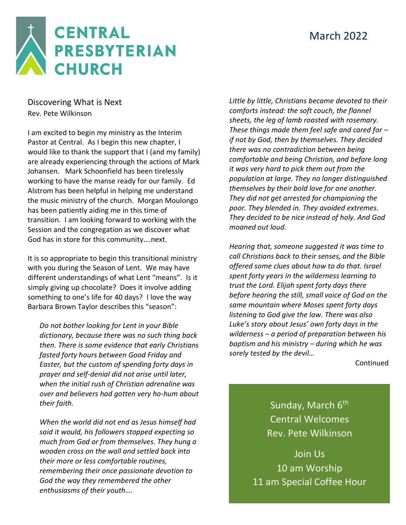### March 2022



Discovering What is Next Rev. Pete Wilkinson

I am excited to begin my ministry as the Interim Pastor at Central. As I begin this new chapter, I would like to thank the support that I (and my family) are already experiencing through the actions of Mark Johansen. Mark Schoonfield has been tirelessly working to have the manse ready for our family. Ed Alstrom has been helpful in helping me understand the music ministry of the church. Morgan Moulongo has been patiently aiding me in this time of transition. I am looking forward to working with the Session and the congregation as we discover what God has in store for this community….next.

It is so appropriate to begin this transitional ministry with you during the Season of Lent. We may have different understandings of what Lent "means". Is it simply giving up chocolate? Does it involve adding something to one's life for 40 days? I love the way Barbara Brown Taylor describes this "season":

*Do not bother looking for Lent in your Bible dictionary, because there was no such thing back then. There is some evidence that early Christians fasted forty hours between Good Friday and Easter, but the custom of spending forty days in prayer and self-denial did not arise until later, when the initial rush of Christian adrenaline was over and believers had gotten very ho-hum about their faith.*

*When the world did not end as Jesus himself had said it would, his followers stopped expecting so much from God or from themselves. They hung a wooden cross on the wall and settled back into their more or less comfortable routines, remembering their once passionate devotion to God the way they remembered the other enthusiasms of their youth….*

*Little by little, Christians became devoted to their comforts instead: the soft couch, the flannel sheets, the leg of lamb roasted with rosemary. These things made them feel safe and cared for – if not by God, then by themselves. They decided there was no contradiction between being comfortable and being Christian, and before long it was very hard to pick them out from the population at large. They no longer distinguished themselves by their bold love for one another. They did not get arrested for championing the poor. They blended in. They avoided extremes. They decided to be nice instead of holy. And God moaned out loud.*

*Hearing that, someone suggested it was time to call Christians back to their senses, and the Bible offered some clues about how to do that. Israel spent forty years in the wilderness learning to trust the Lord. Elijah spent forty days there before hearing the still, small voice of God on the same mountain where Moses spent forty days listening to God give the law. There was also Luke's story about Jesus' own forty days in the wilderness – a period of preparation between his baptism and his ministry – during which he was sorely tested by the devil…*

Continued

Sunday, March 6<sup>th</sup> Central Welcomes Rev. Pete Wilkinson

Join Us 10 am Worship 11 am Special Coffee Hour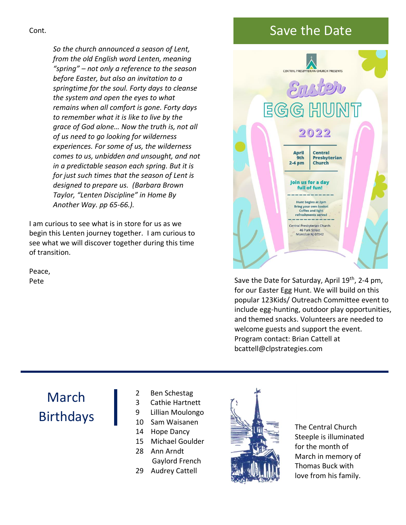#### Cont.

*So the church announced a season of Lent, from the old English word Lenten, meaning "spring" – not only a reference to the season before Easter, but also an invitation to a springtime for the soul. Forty days to cleanse the system and open the eyes to what remains when all comfort is gone. Forty days to remember what it is like to live by the grace of God alone… Now the truth is, not all of us need to go looking for wilderness experiences. For some of us, the wilderness comes to us, unbidden and unsought, and not in a predictable season each spring. But it is for just such times that the season of Lent is designed to prepare us. (Barbara Brown Taylor, "Lenten Discipline" in Home By Another Way. pp 65-66.).*

I am curious to see what is in store for us as we begin this Lenten journey together. I am curious to see what we will discover together during this time of transition.

Peace, Pete

### Save the Date



Save the Date for Saturday, April 19<sup>th</sup>, 2-4 pm, for our Easter Egg Hunt. We will build on this popular 123Kids/ Outreach Committee event to include egg-hunting, outdoor play opportunities, and themed snacks. Volunteers are needed to welcome guests and support the event. Program contact: Brian Cattell at bcattell@clpstrategies.com

# March Birthdays

- 2 Ben Schestag
- 3 Cathie Hartnett
- 9 Lillian Moulongo
- 10 Sam Waisanen
- 14 Hope Dancy
- 15 Michael Goulder
- 28 Ann Arndt Gaylord French
- 29 Audrey Cattell



The Central Church Steeple is illuminated for the month of March in memory of Thomas Buck with love from his family.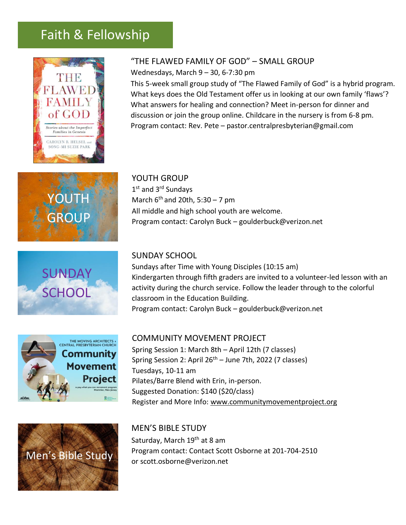### Faith & Fellowship











#### "THE FLAWED FAMILY OF GOD" – SMALL GROUP

Wednesdays, March 9 – 30, 6-7:30 pm

This 5-week small group study of "The Flawed Family of God" is a hybrid program. What keys does the Old Testament offer us in looking at our own family 'flaws'? What answers for healing and connection? Meet in-person for dinner and discussion or join the group online. Childcare in the nursery is from 6-8 pm. Program contact: Rev. Pete – pastor.centralpresbyterian@gmail.com

YOUTH GROUP 1st and 3<sup>rd</sup> Sundays March  $6<sup>th</sup>$  and 20th, 5:30 – 7 pm All middle and high school youth are welcome. Program contact: Carolyn Buck – goulderbuck@verizon.net

#### SUNDAY SCHOOL

Sundays after Time with Young Disciples (10:15 am) Kindergarten through fifth graders are invited to a volunteer-led lesson with an activity during the church service. Follow the leader through to the colorful classroom in the Education Building. Program contact: Carolyn Buck – goulderbuck@verizon.net

#### COMMUNITY MOVEMENT PROJECT

Spring Session 1: March 8th – April 12th (7 classes) Spring Session 2: April 26<sup>th</sup> – June 7th, 2022 (7 classes) Tuesdays, 10-11 am Pilates/Barre Blend with Erin, in-person. Suggested Donation: \$140 (\$20/class) Register and More Info: [www.communitymovementproject.org](http://www.communitymovementproject.org/)

MEN'S BIBLE STUDY Saturday, March 19<sup>th</sup> at 8 am Program contact: Contact Scott Osborne at 201-704-2510 or [scott.osborne@verizon.net](mailto:scott.osborne@verizon.net)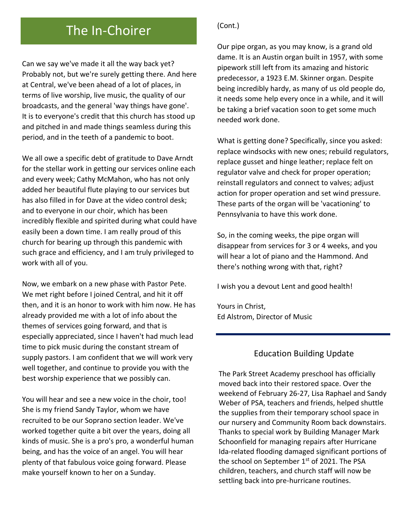## The In-Choirer (Cont.)

Can we say we've made it all the way back yet? Probably not, but we're surely getting there. And here at Central, we've been ahead of a lot of places, in terms of live worship, live music, the quality of our broadcasts, and the general 'way things have gone'. It is to everyone's credit that this church has stood up and pitched in and made things seamless during this period, and in the teeth of a pandemic to boot.

We all owe a specific debt of gratitude to Dave Arndt for the stellar work in getting our services online each and every week; Cathy McMahon, who has not only added her beautiful flute playing to our services but has also filled in for Dave at the video control desk; and to everyone in our choir, which has been incredibly flexible and spirited during what could have easily been a down time. I am really proud of this church for bearing up through this pandemic with such grace and efficiency, and I am truly privileged to work with all of you.

Now, we embark on a new phase with Pastor Pete. We met right before I joined Central, and hit it off then, and it is an honor to work with him now. He has already provided me with a lot of info about the themes of services going forward, and that is especially appreciated, since I haven't had much lead time to pick music during the constant stream of supply pastors. I am confident that we will work very well together, and continue to provide you with the best worship experience that we possibly can.

You will hear and see a new voice in the choir, too! She is my friend Sandy Taylor, whom we have recruited to be our Soprano section leader. We've worked together quite a bit over the years, doing all kinds of music. She is a pro's pro, a wonderful human being, and has the voice of an angel. You will hear plenty of that fabulous voice going forward. Please make yourself known to her on a Sunday.

Our pipe organ, as you may know, is a grand old dame. It is an Austin organ built in 1957, with some pipework still left from its amazing and historic predecessor, a 1923 E.M. Skinner organ. Despite being incredibly hardy, as many of us old people do, it needs some help every once in a while, and it will be taking a brief vacation soon to get some much needed work done.

What is getting done? Specifically, since you asked: replace windsocks with new ones; rebuild regulators, replace gusset and hinge leather; replace felt on regulator valve and check for proper operation; reinstall regulators and connect to valves; adjust action for proper operation and set wind pressure. These parts of the organ will be 'vacationing' to Pennsylvania to have this work done.

So, in the coming weeks, the pipe organ will disappear from services for 3 or 4 weeks, and you will hear a lot of piano and the Hammond. And there's nothing wrong with that, right?

I wish you a devout Lent and good health!

Yours in Christ, Ed Alstrom, Director of Music

### Education Building Update

The Park Street Academy preschool has officially moved back into their restored space. Over the weekend of February 26-27, Lisa Raphael and Sandy Weber of PSA, teachers and friends, helped shuttle the supplies from their temporary school space in our nursery and Community Room back downstairs. Thanks to special work by Building Manager Mark Schoonfield for managing repairs after Hurricane Ida-related flooding damaged significant portions of the school on September  $1<sup>st</sup>$  of 2021. The PSA children, teachers, and church staff will now be settling back into pre-hurricane routines.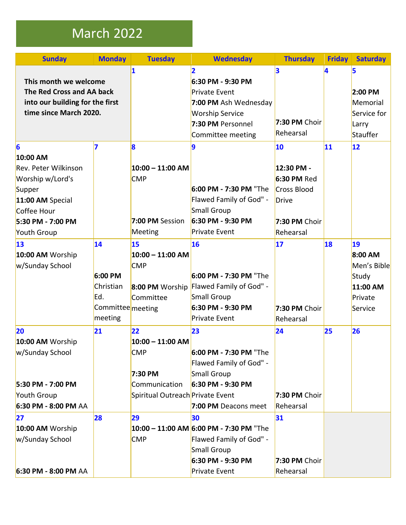## March 2022

| <b>Sunday</b>                   | <b>Monday</b>     | <b>Tuesday</b>                   | <b>Wednesday</b>                        | <b>Thursday</b>    | <b>Friday</b> | <b>Saturday</b> |
|---------------------------------|-------------------|----------------------------------|-----------------------------------------|--------------------|---------------|-----------------|
|                                 |                   | 1                                | $\overline{2}$                          | 3                  | 4             | 5               |
| This month we welcome           |                   |                                  | 6:30 PM - 9:30 PM                       |                    |               |                 |
| The Red Cross and AA back       |                   |                                  | <b>Private Event</b>                    |                    |               | 2:00 PM         |
| into our building for the first |                   |                                  | 7:00 PM Ash Wednesday                   |                    |               | Memorial        |
| time since March 2020.          |                   |                                  | <b>Worship Service</b>                  |                    |               | Service for     |
|                                 |                   |                                  | 7:30 PM Personnel                       | 7:30 PM Choir      |               | Larry           |
|                                 |                   |                                  | Committee meeting                       | Rehearsal          |               | Stauffer        |
| $\vert_6$                       | 7                 | $\overline{\mathbf{8}}$          | 9                                       | 10                 | 11            | $ 12\rangle$    |
| 10:00 AM                        |                   |                                  |                                         |                    |               |                 |
| Rev. Peter Wilkinson            |                   | $10:00 - 11:00$ AM               |                                         | 12:30 PM -         |               |                 |
| Worship w/Lord's                |                   | <b>CMP</b>                       |                                         | 6:30 PM Red        |               |                 |
| Supper                          |                   |                                  | 6:00 PM - 7:30 PM "The                  | <b>Cross Blood</b> |               |                 |
| 11:00 AM Special                |                   |                                  | Flawed Family of God" -                 | <b>Drive</b>       |               |                 |
| Coffee Hour                     |                   |                                  | Small Group                             |                    |               |                 |
| 5:30 PM - 7:00 PM               |                   | 7:00 PM Session                  | 6:30 PM - 9:30 PM                       | 7:30 PM Choir      |               |                 |
| Youth Group                     |                   | Meeting                          | <b>Private Event</b>                    | Rehearsal          |               |                 |
| 13                              | 14                | 15                               | 16                                      | 17                 | 18            | 19              |
| 10:00 AM Worship                |                   | $10:00 - 11:00$ AM               |                                         |                    |               | 8:00 AM         |
| w/Sunday School                 |                   | <b>CMP</b>                       |                                         |                    |               | Men's Bible     |
|                                 | 6:00 PM           |                                  | 6:00 PM - 7:30 PM "The                  |                    |               | Study           |
|                                 | Christian         | 8:00 PM Worship                  | Flawed Family of God" -                 |                    |               | 11:00 AM        |
|                                 | Ed.               | Committee                        | Small Group                             |                    |               | Private         |
|                                 | Committee meeting |                                  | 6:30 PM - 9:30 PM                       | 7:30 PM Choir      |               | Service         |
|                                 | meeting           |                                  | <b>Private Event</b>                    | Rehearsal          |               |                 |
| 20                              | 21                | 22                               | 23                                      | 24                 | 25            | 26              |
| 10:00 AM Worship                |                   | $10:00 - 11:00$ AM               |                                         |                    |               |                 |
| w/Sunday School                 |                   | <b>CMP</b>                       | 6:00 PM - 7:30 PM "The                  |                    |               |                 |
|                                 |                   |                                  | Flawed Family of God" -                 |                    |               |                 |
|                                 |                   | 7:30 PM                          | Small Group                             |                    |               |                 |
| 5:30 PM - 7:00 PM               |                   | Communication                    | 6:30 PM - 9:30 PM                       |                    |               |                 |
| Youth Group                     |                   | Spiritual Outreach Private Event |                                         | 7:30 PM Choir      |               |                 |
| 6:30 PM - 8:00 PM AA            |                   |                                  | 7:00 PM Deacons meet                    | Rehearsal          |               |                 |
| 27                              | 28                | 29                               | 30                                      | 31                 |               |                 |
| 10:00 AM Worship                |                   |                                  | 10:00 - 11:00 AM 6:00 PM - 7:30 PM "The |                    |               |                 |
| w/Sunday School                 |                   | <b>CMP</b>                       | Flawed Family of God" -                 |                    |               |                 |
|                                 |                   |                                  | Small Group                             |                    |               |                 |
|                                 |                   |                                  | 6:30 PM - 9:30 PM                       | 7:30 PM Choir      |               |                 |
| 6:30 PM - 8:00 PM AA            |                   |                                  | Private Event                           | Rehearsal          |               |                 |